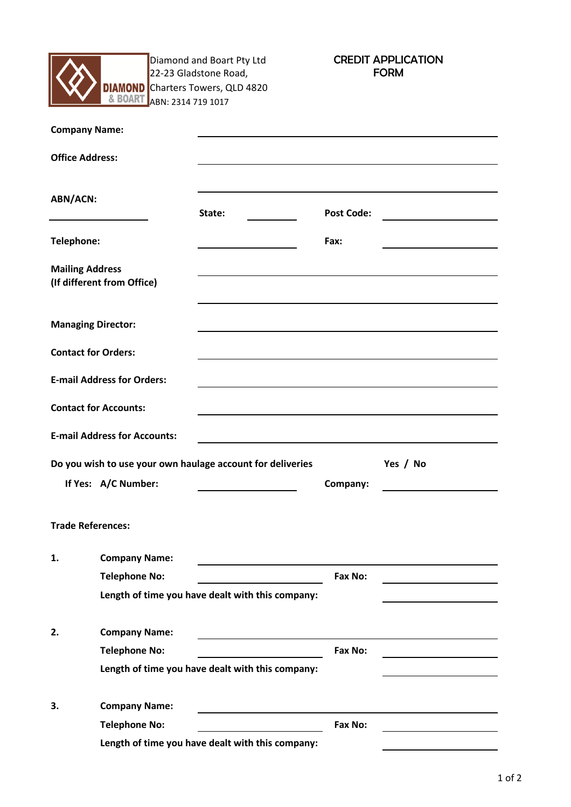

Diamond and Boart Pty Ltd 22-23 Gladstone Road, Charters Towers, QLD 4820 ABN: 2314 719 1017

CREDIT APPLICATION FORM

| <b>Company Name:</b>       |                                                            |                                                            |                   |          |
|----------------------------|------------------------------------------------------------|------------------------------------------------------------|-------------------|----------|
| <b>Office Address:</b>     |                                                            |                                                            |                   |          |
| <b>ABN/ACN:</b>            | State:                                                     |                                                            | <b>Post Code:</b> |          |
| Telephone:                 |                                                            |                                                            | Fax:              |          |
| <b>Mailing Address</b>     | (If different from Office)                                 |                                                            |                   |          |
| <b>Managing Director:</b>  |                                                            |                                                            |                   |          |
| <b>Contact for Orders:</b> |                                                            |                                                            |                   |          |
|                            | <b>E-mail Address for Orders:</b>                          |                                                            |                   |          |
|                            | <b>Contact for Accounts:</b>                               |                                                            |                   |          |
|                            | <b>E-mail Address for Accounts:</b>                        | <u> 1989 - Johann Barbara, martxa alemaniar amerikan a</u> |                   |          |
|                            | Do you wish to use your own haulage account for deliveries |                                                            |                   | Yes / No |
|                            | If Yes: A/C Number:                                        |                                                            | Company:          |          |
| <b>Trade References:</b>   |                                                            |                                                            |                   |          |
| 1.                         | <b>Company Name:</b>                                       |                                                            |                   |          |
|                            | <b>Telephone No:</b>                                       |                                                            | Fax No:           |          |
|                            | Length of time you have dealt with this company:           |                                                            |                   |          |
| 2.                         | <b>Company Name:</b>                                       |                                                            |                   |          |
|                            | <b>Telephone No:</b>                                       |                                                            | Fax No:           |          |
|                            | Length of time you have dealt with this company:           |                                                            |                   |          |
| 3.                         | <b>Company Name:</b>                                       |                                                            |                   |          |
|                            | <b>Telephone No:</b>                                       |                                                            | Fax No:           |          |
|                            | Length of time you have dealt with this company:           |                                                            |                   |          |